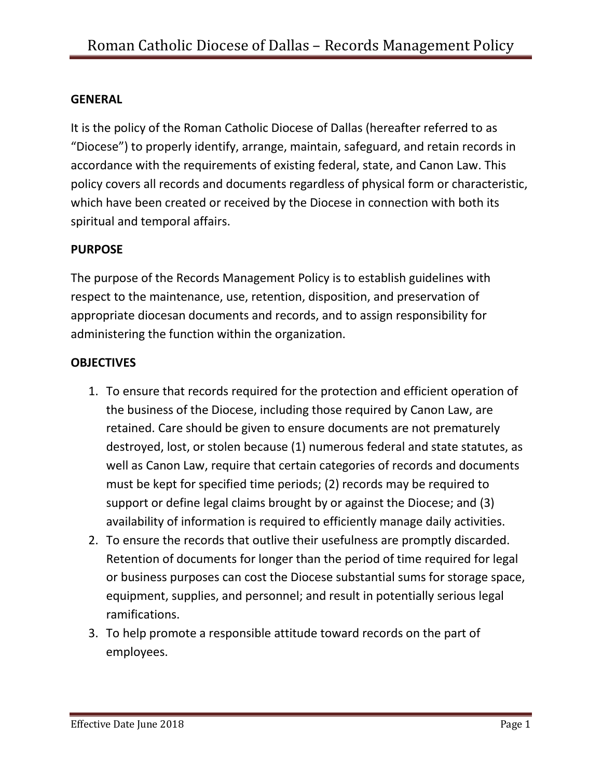## **GENERAL**

It is the policy of the Roman Catholic Diocese of Dallas (hereafter referred to as "Diocese") to properly identify, arrange, maintain, safeguard, and retain records in accordance with the requirements of existing federal, state, and Canon Law. This policy covers all records and documents regardless of physical form or characteristic, which have been created or received by the Diocese in connection with both its spiritual and temporal affairs.

# **PURPOSE**

The purpose of the Records Management Policy is to establish guidelines with respect to the maintenance, use, retention, disposition, and preservation of appropriate diocesan documents and records, and to assign responsibility for administering the function within the organization.

### **OBJECTIVES**

- 1. To ensure that records required for the protection and efficient operation of the business of the Diocese, including those required by Canon Law, are retained. Care should be given to ensure documents are not prematurely destroyed, lost, or stolen because (1) numerous federal and state statutes, as well as Canon Law, require that certain categories of records and documents must be kept for specified time periods; (2) records may be required to support or define legal claims brought by or against the Diocese; and (3) availability of information is required to efficiently manage daily activities.
- 2. To ensure the records that outlive their usefulness are promptly discarded. Retention of documents for longer than the period of time required for legal or business purposes can cost the Diocese substantial sums for storage space, equipment, supplies, and personnel; and result in potentially serious legal ramifications.
- 3. To help promote a responsible attitude toward records on the part of employees.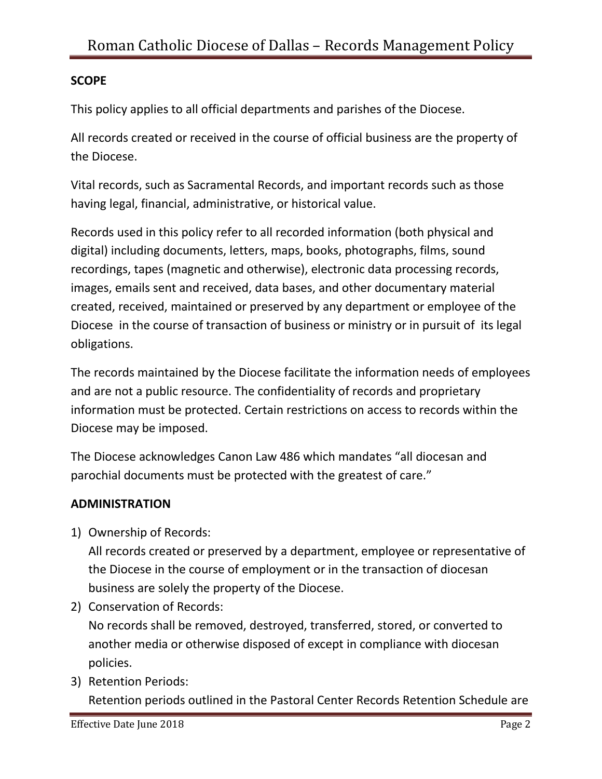# **SCOPE**

This policy applies to all official departments and parishes of the Diocese.

All records created or received in the course of official business are the property of the Diocese.

Vital records, such as Sacramental Records, and important records such as those having legal, financial, administrative, or historical value.

Records used in this policy refer to all recorded information (both physical and digital) including documents, letters, maps, books, photographs, films, sound recordings, tapes (magnetic and otherwise), electronic data processing records, images, emails sent and received, data bases, and other documentary material created, received, maintained or preserved by any department or employee of the Diocese in the course of transaction of business or ministry or in pursuit of its legal obligations.

The records maintained by the Diocese facilitate the information needs of employees and are not a public resource. The confidentiality of records and proprietary information must be protected. Certain restrictions on access to records within the Diocese may be imposed.

The Diocese acknowledges Canon Law 486 which mandates "all diocesan and parochial documents must be protected with the greatest of care."

### **ADMINISTRATION**

1) Ownership of Records:

All records created or preserved by a department, employee or representative of the Diocese in the course of employment or in the transaction of diocesan business are solely the property of the Diocese.

2) Conservation of Records:

No records shall be removed, destroyed, transferred, stored, or converted to another media or otherwise disposed of except in compliance with diocesan policies.

3) Retention Periods: Retention periods outlined in the Pastoral Center Records Retention Schedule are